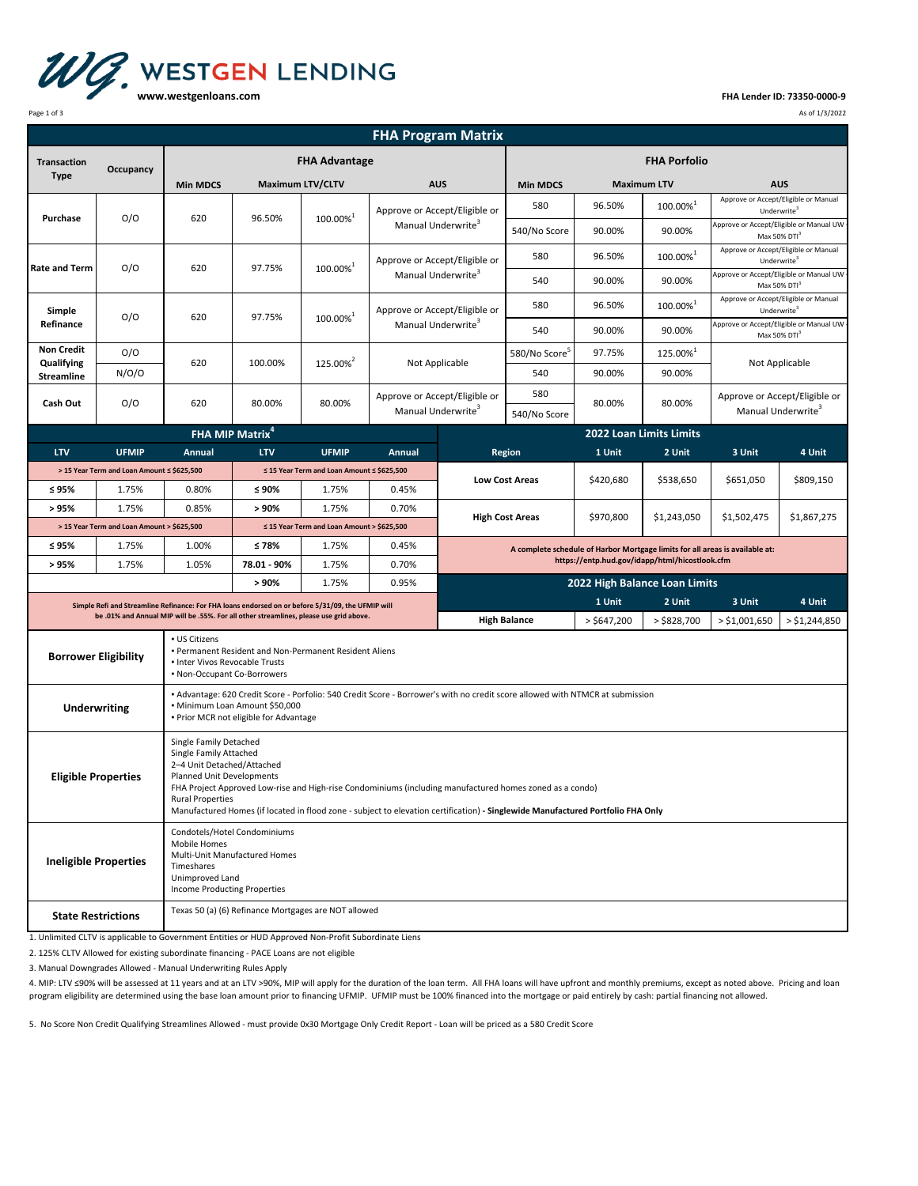

**FHA Lender ID: 73350‐0000‐9**

| Page 1 of 3<br>As of 1/3/2022                                                                                                                                                                                                                                                                                                                                                                               |                                            |                                                                                                                                                                                                                                                                                                                                                                                       |                      |                                            |                                                                 |                                                                 |                                                             |                                                                                                                                |                                |                                                                     |                                         |  |
|-------------------------------------------------------------------------------------------------------------------------------------------------------------------------------------------------------------------------------------------------------------------------------------------------------------------------------------------------------------------------------------------------------------|--------------------------------------------|---------------------------------------------------------------------------------------------------------------------------------------------------------------------------------------------------------------------------------------------------------------------------------------------------------------------------------------------------------------------------------------|----------------------|--------------------------------------------|-----------------------------------------------------------------|-----------------------------------------------------------------|-------------------------------------------------------------|--------------------------------------------------------------------------------------------------------------------------------|--------------------------------|---------------------------------------------------------------------|-----------------------------------------|--|
|                                                                                                                                                                                                                                                                                                                                                                                                             |                                            |                                                                                                                                                                                                                                                                                                                                                                                       |                      |                                            |                                                                 | <b>FHA Program Matrix</b>                                       |                                                             |                                                                                                                                |                                |                                                                     |                                         |  |
| <b>Transaction</b>                                                                                                                                                                                                                                                                                                                                                                                          |                                            | <b>FHA Advantage</b>                                                                                                                                                                                                                                                                                                                                                                  |                      |                                            |                                                                 |                                                                 | <b>FHA Porfolio</b>                                         |                                                                                                                                |                                |                                                                     |                                         |  |
| <b>Type</b>                                                                                                                                                                                                                                                                                                                                                                                                 | Occupancy                                  | <b>Min MDCS</b><br><b>Maximum LTV/CLTV</b>                                                                                                                                                                                                                                                                                                                                            |                      |                                            | <b>AUS</b>                                                      |                                                                 | <b>Min MDCS</b>                                             | <b>Maximum LTV</b>                                                                                                             |                                | <b>AUS</b>                                                          |                                         |  |
|                                                                                                                                                                                                                                                                                                                                                                                                             | O/O                                        | 620                                                                                                                                                                                                                                                                                                                                                                                   |                      | 100.00% <sup>1</sup>                       | Approve or Accept/Eligible or<br>Manual Underwrite <sup>3</sup> |                                                                 | 580                                                         | 96.50%                                                                                                                         | 100.00%1                       | Approve or Accept/Eligible or Manual<br>Underwrite <sup>3</sup>     |                                         |  |
| Purchase                                                                                                                                                                                                                                                                                                                                                                                                    |                                            |                                                                                                                                                                                                                                                                                                                                                                                       | 96.50%               |                                            |                                                                 |                                                                 | 540/No Score                                                | 90.00%                                                                                                                         | 90.00%                         | Approve or Accept/Eligible or Manual UW<br>Max 50% DTI <sup>3</sup> |                                         |  |
| <b>Rate and Term</b>                                                                                                                                                                                                                                                                                                                                                                                        | O/O                                        | 620                                                                                                                                                                                                                                                                                                                                                                                   | 97.75%               | 100.00% <sup>1</sup>                       | Approve or Accept/Eligible or<br>Manual Underwrite <sup>3</sup> |                                                                 | 580                                                         | 96.50%                                                                                                                         | $100.00\%^{1}$                 | Approve or Accept/Eligible or Manual<br>Underwrite <sup>3</sup>     |                                         |  |
|                                                                                                                                                                                                                                                                                                                                                                                                             |                                            |                                                                                                                                                                                                                                                                                                                                                                                       |                      |                                            |                                                                 |                                                                 | 540                                                         | 90.00%                                                                                                                         | 90.00%                         | Max 50% DTI <sup>3</sup>                                            | Approve or Accept/Eligible or Manual UW |  |
| Simple<br>Refinance                                                                                                                                                                                                                                                                                                                                                                                         | O/O                                        | 620                                                                                                                                                                                                                                                                                                                                                                                   | 97.75%               | 100.00% <sup>1</sup>                       | Approve or Accept/Eligible or<br>Manual Underwrite <sup>3</sup> |                                                                 | 580                                                         | 96.50%                                                                                                                         | 100.00%1                       | Approve or Accept/Eligible or Manual<br>Underwrite <sup>3</sup>     | Approve or Accept/Eligible or Manual UW |  |
|                                                                                                                                                                                                                                                                                                                                                                                                             |                                            |                                                                                                                                                                                                                                                                                                                                                                                       |                      |                                            |                                                                 |                                                                 | 540                                                         | 90.00%                                                                                                                         | 90.00%                         | Max 50% DTI <sup>3</sup>                                            |                                         |  |
| <b>Non Credit</b><br>Qualifying                                                                                                                                                                                                                                                                                                                                                                             | O/O                                        | 620                                                                                                                                                                                                                                                                                                                                                                                   | 100.00%              | 125.00% <sup>2</sup>                       | Not Applicable                                                  |                                                                 | 580/No Score <sup>5</sup>                                   | 97.75%                                                                                                                         | $125.00\%^{1}$                 |                                                                     | Not Applicable                          |  |
| <b>Streamline</b>                                                                                                                                                                                                                                                                                                                                                                                           | N/O/O                                      |                                                                                                                                                                                                                                                                                                                                                                                       |                      |                                            |                                                                 |                                                                 | 540                                                         | 90.00%                                                                                                                         | 90.00%                         |                                                                     |                                         |  |
| Cash Out                                                                                                                                                                                                                                                                                                                                                                                                    | O/O                                        | 620                                                                                                                                                                                                                                                                                                                                                                                   | 80.00%               | 80.00%                                     |                                                                 | Approve or Accept/Eligible or<br>Manual Underwrite <sup>3</sup> | 580<br>540/No Score                                         | 80.00%                                                                                                                         | 80.00%                         | Approve or Accept/Eligible or<br>Manual Underwrite <sup>3</sup>     |                                         |  |
|                                                                                                                                                                                                                                                                                                                                                                                                             |                                            | FHA MIP Matrix <sup>4</sup>                                                                                                                                                                                                                                                                                                                                                           |                      |                                            |                                                                 |                                                                 |                                                             |                                                                                                                                | <b>2022 Loan Limits Limits</b> |                                                                     |                                         |  |
| <b>LTV</b>                                                                                                                                                                                                                                                                                                                                                                                                  | <b>UFMIP</b>                               | Annual                                                                                                                                                                                                                                                                                                                                                                                | <b>LTV</b>           | <b>UFMIP</b>                               | Annual                                                          |                                                                 | <b>Region</b>                                               | 1 Unit                                                                                                                         | 2 Unit                         | 3 Unit                                                              | 4 Unit                                  |  |
|                                                                                                                                                                                                                                                                                                                                                                                                             | > 15 Year Term and Loan Amount ≤ \$625,500 |                                                                                                                                                                                                                                                                                                                                                                                       |                      | ≤ 15 Year Term and Loan Amount ≤ \$625,500 |                                                                 |                                                                 |                                                             | \$420,680                                                                                                                      | \$538,650                      | \$651,050                                                           | \$809,150                               |  |
| ≤ 95%                                                                                                                                                                                                                                                                                                                                                                                                       | 1.75%                                      | 0.80%                                                                                                                                                                                                                                                                                                                                                                                 | ≤ 90%                | 1.75%                                      | 0.45%                                                           | <b>Low Cost Areas</b>                                           |                                                             |                                                                                                                                |                                |                                                                     |                                         |  |
| > 95%                                                                                                                                                                                                                                                                                                                                                                                                       | 1.75%                                      | 0.85%                                                                                                                                                                                                                                                                                                                                                                                 | > 90%                | 1.75%                                      | 0.70%                                                           |                                                                 | <b>High Cost Areas</b>                                      | \$970,800                                                                                                                      | \$1,243,050                    | \$1,502,475                                                         | \$1,867,275                             |  |
|                                                                                                                                                                                                                                                                                                                                                                                                             | > 15 Year Term and Loan Amount > \$625,500 |                                                                                                                                                                                                                                                                                                                                                                                       |                      | ≤ 15 Year Term and Loan Amount > \$625,500 |                                                                 |                                                                 |                                                             |                                                                                                                                |                                |                                                                     |                                         |  |
| ≤ 95%                                                                                                                                                                                                                                                                                                                                                                                                       | 1.75%                                      | 1.00%                                                                                                                                                                                                                                                                                                                                                                                 | $≤78%$               | 1.75%                                      | 0.45%                                                           |                                                                 |                                                             | A complete schedule of Harbor Mortgage limits for all areas is available at:<br>https://entp.hud.gov/idapp/html/hicostlook.cfm |                                |                                                                     |                                         |  |
| > 95%                                                                                                                                                                                                                                                                                                                                                                                                       | 1.75%                                      | 1.05%                                                                                                                                                                                                                                                                                                                                                                                 | 78.01 - 90%<br>> 90% | 1.75%<br>1.75%                             | 0.70%<br>0.95%                                                  |                                                                 |                                                             |                                                                                                                                |                                |                                                                     |                                         |  |
|                                                                                                                                                                                                                                                                                                                                                                                                             |                                            |                                                                                                                                                                                                                                                                                                                                                                                       |                      |                                            |                                                                 |                                                                 | 2022 High Balance Loan Limits<br>1 Unit<br>2 Unit<br>3 Unit |                                                                                                                                |                                |                                                                     | 4 Unit                                  |  |
|                                                                                                                                                                                                                                                                                                                                                                                                             |                                            | Simple Refi and Streamline Refinance: For FHA loans endorsed on or before 5/31/09, the UFMIP will<br>be .01% and Annual MIP will be .55%. For all other streamlines, please use grid above.                                                                                                                                                                                           |                      |                                            |                                                                 |                                                                 | <b>High Balance</b>                                         | > \$647,200                                                                                                                    | $>$ \$828,700                  | $>$ \$1,001,650                                                     | $>$ \$1,244,850                         |  |
| - US Citizens<br>. Permanent Resident and Non-Permanent Resident Aliens<br><b>Borrower Eligibility</b><br>. Inter Vivos Revocable Trusts<br>• Non-Occupant Co-Borrowers<br>• Advantage: 620 Credit Score - Porfolio: 540 Credit Score - Borrower's with no credit score allowed with NTMCR at submission<br>· Minimum Loan Amount \$50,000<br><b>Underwriting</b><br>. Prior MCR not eligible for Advantage |                                            |                                                                                                                                                                                                                                                                                                                                                                                       |                      |                                            |                                                                 |                                                                 |                                                             |                                                                                                                                |                                |                                                                     |                                         |  |
| <b>Eligible Properties</b>                                                                                                                                                                                                                                                                                                                                                                                  |                                            | Single Family Detached<br>Single Family Attached<br>2-4 Unit Detached/Attached<br>Planned Unit Developments<br>FHA Project Approved Low-rise and High-rise Condominiums (including manufactured homes zoned as a condo)<br><b>Rural Properties</b><br>Manufactured Homes (if located in flood zone - subject to elevation certification) - Singlewide Manufactured Portfolio FHA Only |                      |                                            |                                                                 |                                                                 |                                                             |                                                                                                                                |                                |                                                                     |                                         |  |
| <b>Ineligible Properties</b>                                                                                                                                                                                                                                                                                                                                                                                |                                            | Condotels/Hotel Condominiums<br>Mobile Homes<br>Multi-Unit Manufactured Homes<br>Timeshares<br>Unimproved Land<br>Income Producting Properties                                                                                                                                                                                                                                        |                      |                                            |                                                                 |                                                                 |                                                             |                                                                                                                                |                                |                                                                     |                                         |  |
| <b>State Restrictions</b>                                                                                                                                                                                                                                                                                                                                                                                   |                                            | Texas 50 (a) (6) Refinance Mortgages are NOT allowed                                                                                                                                                                                                                                                                                                                                  |                      |                                            |                                                                 |                                                                 |                                                             |                                                                                                                                |                                |                                                                     |                                         |  |

1. Unlimited CLTV is applicable to Government Entities or HUD Approved Non-Profit Subordinate Liens

2. 125% CLTV Allowed for existing subordinate financing ‐ PACE Loans are not eligible

3. Manual Downgrades Allowed ‐ Manual Underwriting Rules Apply

4. MIP: LTV ≤90% will be assessed at 11 years and at an LTV >90%, MIP will apply for the duration of the loan term. All FHA loans will have upfront and monthly premiums, except as noted above. Pricing and loan program eligibility are determined using the base loan amount prior to financing UFMIP. UFMIP must be 100% financed into the mortgage or paid entirely by cash: partial financing not allowed.

5. No Score Non Credit Qualifying Streamlines Allowed ‐ must provide 0x30 Mortgage Only Credit Report ‐ Loan will be priced as a 580 Credit Score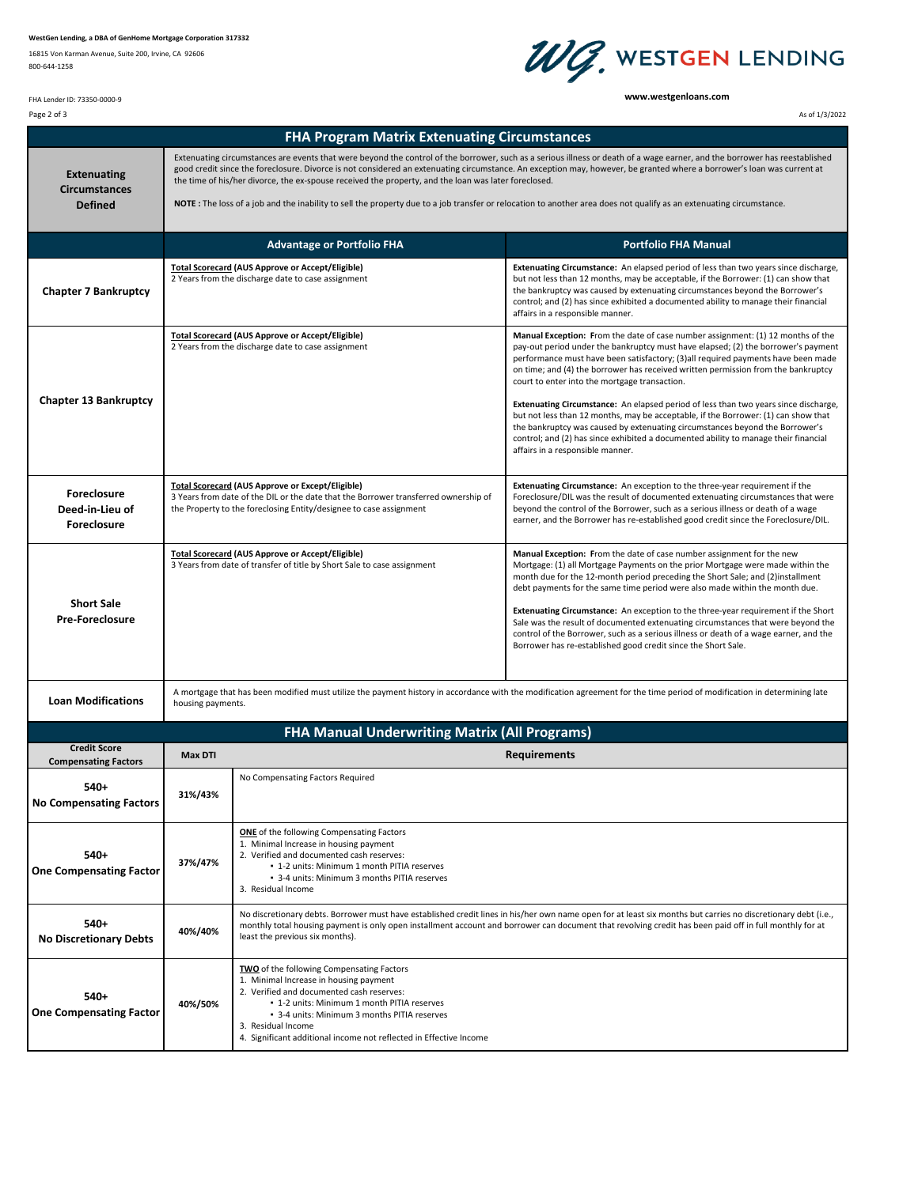## **WestGen Lending, a DBA of GenHome Mortgage Corporation 317332**

16815 Von Karman Avenue, Suite 200, Irvine, CA 92606 800‐644‐1258



**www.westgenloans.com**

FHA Lender ID: 73350‐0000‐9

| Page 2 of 3                                                  |                                                      |                                                                                                                                                                                                                                                                                                                                                                                                                                                                                                                                                                                                                                      | As of 1/3/2022                                                                                                                                                                                                                                                                                                                                                                                                                                                                                                                                                                                                                                                                                                                                                                                        |  |  |  |  |  |
|--------------------------------------------------------------|------------------------------------------------------|--------------------------------------------------------------------------------------------------------------------------------------------------------------------------------------------------------------------------------------------------------------------------------------------------------------------------------------------------------------------------------------------------------------------------------------------------------------------------------------------------------------------------------------------------------------------------------------------------------------------------------------|-------------------------------------------------------------------------------------------------------------------------------------------------------------------------------------------------------------------------------------------------------------------------------------------------------------------------------------------------------------------------------------------------------------------------------------------------------------------------------------------------------------------------------------------------------------------------------------------------------------------------------------------------------------------------------------------------------------------------------------------------------------------------------------------------------|--|--|--|--|--|
|                                                              |                                                      | <b>FHA Program Matrix Extenuating Circumstances</b>                                                                                                                                                                                                                                                                                                                                                                                                                                                                                                                                                                                  |                                                                                                                                                                                                                                                                                                                                                                                                                                                                                                                                                                                                                                                                                                                                                                                                       |  |  |  |  |  |
| <b>Extenuating</b><br><b>Circumstances</b><br><b>Defined</b> |                                                      | Extenuating circumstances are events that were beyond the control of the borrower, such as a serious illness or death of a wage earner, and the borrower has reestablished<br>good credit since the foreclosure. Divorce is not considered an extenuating circumstance. An exception may, however, be granted where a borrower's loan was current at<br>the time of his/her divorce, the ex-spouse received the property, and the loan was later foreclosed.<br>NOTE : The loss of a job and the inability to sell the property due to a job transfer or relocation to another area does not qualify as an extenuating circumstance. |                                                                                                                                                                                                                                                                                                                                                                                                                                                                                                                                                                                                                                                                                                                                                                                                       |  |  |  |  |  |
|                                                              |                                                      | <b>Advantage or Portfolio FHA</b>                                                                                                                                                                                                                                                                                                                                                                                                                                                                                                                                                                                                    | <b>Portfolio FHA Manual</b>                                                                                                                                                                                                                                                                                                                                                                                                                                                                                                                                                                                                                                                                                                                                                                           |  |  |  |  |  |
| <b>Chapter 7 Bankruptcy</b>                                  |                                                      | Total Scorecard (AUS Approve or Accept/Eligible)<br>2 Years from the discharge date to case assignment                                                                                                                                                                                                                                                                                                                                                                                                                                                                                                                               | <b>Extenuating Circumstance:</b> An elapsed period of less than two years since discharge,<br>but not less than 12 months, may be acceptable, if the Borrower: (1) can show that<br>the bankruptcy was caused by extenuating circumstances beyond the Borrower's<br>control; and (2) has since exhibited a documented ability to manage their financial<br>affairs in a responsible manner.                                                                                                                                                                                                                                                                                                                                                                                                           |  |  |  |  |  |
| <b>Chapter 13 Bankruptcy</b>                                 |                                                      | <b>Total Scorecard (AUS Approve or Accept/Eligible)</b><br>2 Years from the discharge date to case assignment                                                                                                                                                                                                                                                                                                                                                                                                                                                                                                                        | <b>Manual Exception:</b> From the date of case number assignment: (1) 12 months of the<br>pay-out period under the bankruptcy must have elapsed; (2) the borrower's payment<br>performance must have been satisfactory; (3) all required payments have been made<br>on time; and (4) the borrower has received written permission from the bankruptcy<br>court to enter into the mortgage transaction.<br><b>Extenuating Circumstance:</b> An elapsed period of less than two years since discharge,<br>but not less than 12 months, may be acceptable, if the Borrower: (1) can show that<br>the bankruptcy was caused by extenuating circumstances beyond the Borrower's<br>control; and (2) has since exhibited a documented ability to manage their financial<br>affairs in a responsible manner. |  |  |  |  |  |
| <b>Foreclosure</b><br>Deed-in-Lieu of<br><b>Foreclosure</b>  |                                                      | <b>Total Scorecard (AUS Approve or Except/Eligible)</b><br>3 Years from date of the DIL or the date that the Borrower transferred ownership of<br>the Property to the foreclosing Entity/designee to case assignment                                                                                                                                                                                                                                                                                                                                                                                                                 | <b>Extenuating Circumstance:</b> An exception to the three-year requirement if the<br>Foreclosure/DIL was the result of documented extenuating circumstances that were<br>beyond the control of the Borrower, such as a serious illness or death of a wage<br>earner, and the Borrower has re-established good credit since the Foreclosure/DIL.                                                                                                                                                                                                                                                                                                                                                                                                                                                      |  |  |  |  |  |
| <b>Short Sale</b><br><b>Pre-Foreclosure</b>                  |                                                      | <b>Total Scorecard (AUS Approve or Accept/Eligible)</b><br>3 Years from date of transfer of title by Short Sale to case assignment                                                                                                                                                                                                                                                                                                                                                                                                                                                                                                   | Manual Exception: From the date of case number assignment for the new<br>Mortgage: (1) all Mortgage Payments on the prior Mortgage were made within the<br>month due for the 12-month period preceding the Short Sale; and (2)installment<br>debt payments for the same time period were also made within the month due.<br><b>Extenuating Circumstance:</b> An exception to the three-year requirement if the Short<br>Sale was the result of documented extenuating circumstances that were beyond the<br>control of the Borrower, such as a serious illness or death of a wage earner, and the<br>Borrower has re-established good credit since the Short Sale.                                                                                                                                    |  |  |  |  |  |
| <b>Loan Modifications</b>                                    |                                                      | A mortgage that has been modified must utilize the payment history in accordance with the modification agreement for the time period of modification in determining late<br>housing payments.                                                                                                                                                                                                                                                                                                                                                                                                                                        |                                                                                                                                                                                                                                                                                                                                                                                                                                                                                                                                                                                                                                                                                                                                                                                                       |  |  |  |  |  |
|                                                              | <b>FHA Manual Underwriting Matrix (All Programs)</b> |                                                                                                                                                                                                                                                                                                                                                                                                                                                                                                                                                                                                                                      |                                                                                                                                                                                                                                                                                                                                                                                                                                                                                                                                                                                                                                                                                                                                                                                                       |  |  |  |  |  |
| <b>Credit Score</b><br><b>Compensating Factors</b>           | <b>Max DTI</b>                                       |                                                                                                                                                                                                                                                                                                                                                                                                                                                                                                                                                                                                                                      | <b>Requirements</b>                                                                                                                                                                                                                                                                                                                                                                                                                                                                                                                                                                                                                                                                                                                                                                                   |  |  |  |  |  |
| 540+<br><b>No Compensating Factors</b>                       | 31%/43%                                              | No Compensating Factors Required                                                                                                                                                                                                                                                                                                                                                                                                                                                                                                                                                                                                     |                                                                                                                                                                                                                                                                                                                                                                                                                                                                                                                                                                                                                                                                                                                                                                                                       |  |  |  |  |  |
| $540+$<br><b>One Compensating Factor</b>                     | 37%/47%                                              | <b>ONE</b> of the following Compensating Factors<br>1. Minimal Increase in housing payment<br>2. Verified and documented cash reserves:<br>. 1-2 units: Minimum 1 month PITIA reserves<br>• 3-4 units: Minimum 3 months PITIA reserves<br>3. Residual Income                                                                                                                                                                                                                                                                                                                                                                         |                                                                                                                                                                                                                                                                                                                                                                                                                                                                                                                                                                                                                                                                                                                                                                                                       |  |  |  |  |  |
| $540+$<br><b>No Discretionary Debts</b>                      | 40%/40%                                              | No discretionary debts. Borrower must have established credit lines in his/her own name open for at least six months but carries no discretionary debt (i.e.,<br>monthly total housing payment is only open installment account and borrower can document that revolving credit has been paid off in full monthly for at<br>least the previous six months).                                                                                                                                                                                                                                                                          |                                                                                                                                                                                                                                                                                                                                                                                                                                                                                                                                                                                                                                                                                                                                                                                                       |  |  |  |  |  |
| $540+$<br><b>One Compensating Factor</b>                     | 40%/50%                                              | <b>TWO</b> of the following Compensating Factors<br>1. Minimal Increase in housing payment<br>2. Verified and documented cash reserves:<br>. 1-2 units: Minimum 1 month PITIA reserves<br>• 3-4 units: Minimum 3 months PITIA reserves<br>3. Residual Income<br>4. Significant additional income not reflected in Effective Income                                                                                                                                                                                                                                                                                                   |                                                                                                                                                                                                                                                                                                                                                                                                                                                                                                                                                                                                                                                                                                                                                                                                       |  |  |  |  |  |